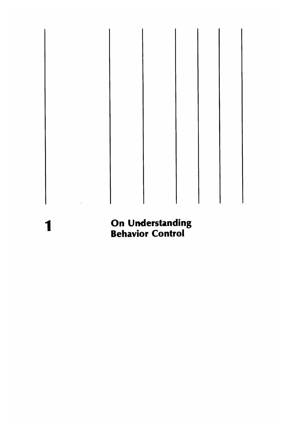## **On Understanding**<br>**Behavior Control**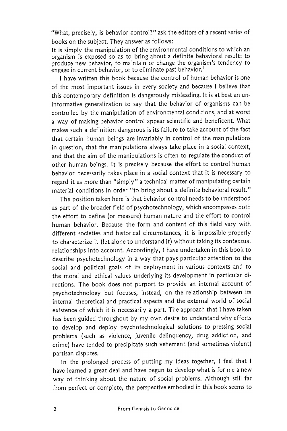"What, precisely, is behavior control?" ask the editors of a recent series of books on the subject. They answer as follows:

It is simply the manipulation of the environmental conditions to which an organism is exposed so as to bring about a definite behavioral result: to produce new behavior, to maintain or change the organism's tendency to engage in current behavior, or to eliminate past behavior.<sup>1</sup>

I have written this book because the control of human behavior is one of the most important issues in every society and because I believe that this contemporary definition is dangerously misleading. It is at best an uninformative generalization to say that the behavior of organisms can be controlled by the manipulation of environmental conditions, and at worst a way of making behavior control appear scientific and beneficent. What makes such a definition dangerous is its failure to take account of the fact that certain human beings are invariably in control of the manipulations in question, that the manipulations always take place in a social context, and that the aim of the manipulations is often to regulate the conduct of other human beings. It is precisely because the effort to control human behavior necessarily takes place in a social context that it is necessary to regard it as more than "simply" a technical matter of manipulating certain material conditions in order "to bring about a definite behavioral result."

The position taken here is that behavior control needs to be understood as part of the broader field of psychotechnology, which encompasses both the effort to define (or measure) human nature and the effort to control human behavior. Because the form and content of this field vary with different societies and historical circumstances, it is impossible properly to characterize it (let alone to understand it) without taking its contextual relationships into account. Accordingly, I have undertaken in this book to describe psychotechnology in a way that pays particular attention to the social and political goals of its deployment in various contexts and to the moral and ethical values underlying its development in particular directions. The book does not purport to provide an internal account of psychotechnology but focuses, instead, on the relationship between its internal theoretical and practical aspects and the external world of social existence of which it is necessarily a part. The approach that I have taken has been guided throughout by my own desire to understand why efforts to develop and deploy psychotechnological solutions to pressing social problems (such as violence, juvenile delinquency, drug addiction, and crime) have tended to precipitate such vehement (and sometimes violent) partisan disputes.

In the prolonged process of putting my ideas together, I feel that I have learned a great deal and have begun to develop what is for me a new way of thinking about the nature of social problems. Although still far from perfect or complete, the perspective embodied in this book seems to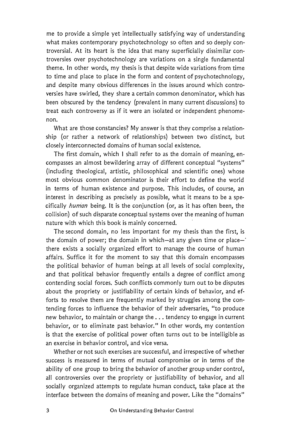me to provide a simple yet intellectually satisfying way of understanding what makes contemporary psychotechnology so often and so deeply controversial. At its heart is the idea that many superficially dissimilar controversies over psychotechnology are variations on a single fundamental theme. In other words, my thesis is that despite wide variations from time to time and place to place in the form and content of psychotechnology, and despite many obvious differences in the issues around which controversies have swirled, they share a certain common denominator, which has been obscured by the tendency (prevalent in many current discussions) to treat each controversy as if it were an isolated or independent phenome non .

What are those constancies? My answer is that they comprise a relationship (or rather a network of relationships) between two distinct, but closely interconnected domains of human social existence.

The first domain, which I shall refer to as the domain of meaning, encompasses an almost bewildering array of different conceptual "systems" (including theological, artistic, philosophical and scientific ones) whose most obvious common denominator is their effort to define the world in terms of human existence and purpose. This includes, of course, an interest in describing as precisely as possible, what it means to be a specifically human being. It is the conjunction (or, as it has often been, the collision) of such disparate conceptual systems over the meaning of human nature with which this book is mainly concerned.

The second domain, no less important for my thesis than the first, is the domain of power; the domain in which—at any given time or place— $\dot{\phantom{a}}$ there exists a socially organized effort to manage the course of human affairs. Suffice it for the moment to say that this domain encompasses the political behavior of human beings at all levels of social complexity , and that political behavior frequently entails a degree of conflict among contending social forces. Such conflicts commonly turn out to be disputes about the propriety or justifiability of certain kinds of behavior, and efforts to resolve them are frequently marked by struggles among the contending forces to influence the behavior of their adversaries, "to produce new behavior, to maintain or change the . . . tendency to engage in current behavior, or to eliminate past behavior." In other words, my contention is that the exercise of political power often turns out to be intelligible as an exercise in behavior control, and vice versa.

Whether or not such exercises are successful, and irrespective of whether success is measured in terms of mutual compromise or in terms of the ability of one group to bring the behavior of another group under control, all controversies over the propriety or justifiability of behavior, and all socially organized attempts to regulate human conduct, take place at the interface between the domains of meaning and power. Like the " domains"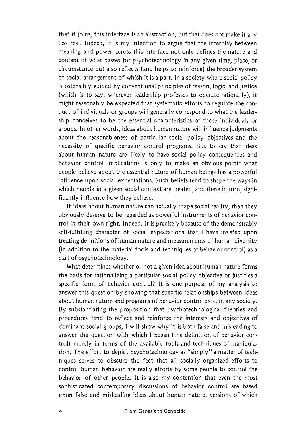that it joins, this interface is an abstraction, but that does not make it any less real. Indeed, it is my intention to argue that the interplay between meaning and power across this interface not only defines the nature and content of what passes for psychotechnology in any given time, place, or circumstance but also reflects (and helps to reinforce) the broader system of social arrangement of which it is a part. In a society where social policy is ostensibly guided by conventional principles of reason, logic, and justice (which is to say, wherever leadership professes to operate rationally), it might reasonably be expected that systematic efforts to regulate the conduct of individuals or groups will generally correspond to what the leadership conceives to be the essential characteristics of those individuals or groups. In other words, ideas about human nature will influence judgments about the reasonableness of particular social policy objectives and the necessity of specific behavior control programs. But to say that ideas about human nature are likely to have social policy consequences and behavior control implications is only to make an obvious point: what people believe about the essential nature of human beings has a powerful influence upon social expectations. Such beliefs tend to shape the ways in which people in a given social context are treated, and these in turn, significantly influence how they behave.

If ideas about human nature can actually shape social reality, then they obviously deserve to be regarded as powerful instruments of behavior control in their own right. Indeed, it is precisely because of the demonstrably self-fulfilling character of social expectations that I have insisted upon treating definitions of human nature and measurements of human diversity (in addition to the material tools and techniques of behavior control) as a part of psychotechnology.

What determines whether or not a given idea about human nature forms the basis for rationalizing a particular social policy objective or justifies a specific form of behavior control? It is one purpose of my analysis to answer this question by showing that specific relationships between ideas about human nature and programs of behavior control exist in any society. By substantiating the proposition that psychotechnological theories and procedures tend to reflect and reinforce the interests and objectives of dominant social groups, I will show why it is both false and misleading to answer the question with which I began (the definition of behavior control) merely in terms of the available tools and techniques of manipulation. The effort to depict psychotechnology as "simply" a matter of techniques serves to obscure the fact that all socially organized efforts to control human behavior are really efforts by some people to control the behavior of other people. It is also my contention that even the most sophisticated contemporary discussions of behavior control are based upon false and misleading ideas about human nature, versions of which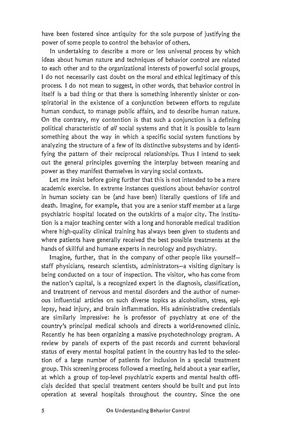have been fostered since antiquity for the sole purpose of justifying the power of some people to control the behavior of others.

In undertaking to describe a more or less universal process by which ideas about human nature and techniques of behavior control are related to each other and to the organizational interests of powerful social groups, I do not necessarily cast doubt on the moral and ethical legitimacy of this process. I do not mean to suggest, in other words, that behavior control in itself is a bad thing or that there is something inherently sinister or conspiratorial in the existence of a conjunction between efforts to regulate human conduct, to manage public affairs, and to describe human nature. On the contrary, my contention is that such a conjunction is a defining political characteristic of all social systems and that it is possible to learn something about the way in which a specific social system functions by analyzing the structure of a few of its distinctive subsystems and by identifying the pattern of their reciprocal relationships. Thus I intend to seek out the general principles governing the interplay between meaning and power as they manifest themselves in varying social contexts.

Let me insist before going further that this is not intended to be a mere academic exercise. In extreme instances questions about behavior control in human society can be (and have been) literally questions of life and death. Imagine, for example, that you are a senior staff member at a large psychiatric hospital located on the outskirts of a major city. The institution is a major teaching center with a long and honorable medical tradition where high-quality clinical training has always been given to students and where patients have generally received the best possible treatments at the hands of skillful and humane experts in neurology and psychiatry.

Imagine, further, that in the company of other people like yourselfstaff physicians, research scientists, administrators-a visiting dignitary is being conducted on a tour of inspection. The visitor, who has come from the nation 's capital, is a recognized expert in the diagnosis, classification, and treatment of nervous and mental disorders and the author of numerous influential articles on such diverse topics as alcoholism, stress, epilepsy, head injury, and brain inflammation. His administrative credentials are similarly impressive: he is professor of psychiatry at one of the country's principal medical schools and directs a world-renowned clinic. Recently he has been organizing a massive psychotechnology program. A review by panels of experts of the past records and current behavioral status of every mental hospital patient in the country has led to the selection of a large number of patients for inclusion in a special treatment group. This screening process followed a meeting, held about a year earlier, at which a group of top-level psychiatric experts and mental health officials decided that special treatment centers should be built and put into operation at several hospitals throughout the country. Since the one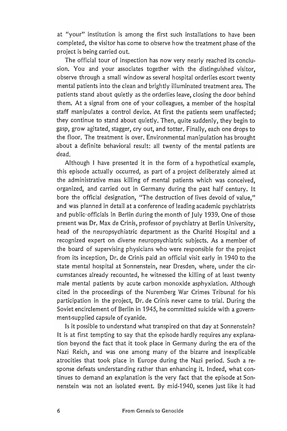at "your" institution is among the first such installations to have been completed, the visitor has come to observe how the treatment phase of the project is being carried out.

The official tour of inspection has now very nearly reached its conclusion. You and your associates together with the distinguished visitor, observe through a small window as several hospital orderlies escort twenty mental patients into the clean and brightly illuminated treatment area. The patients stand about quietly as the orderlies leave, closing the door behind them. At a signal from one of your colleagues, a member of the hospital staff manipulates a control device. At first the patients seem unaffected; they continue to stand about quietly. Then, quite suddenly, they begin to gasp, grow agitated, stagger, cry out, and totter. Finally, each one drops to the floor. The treatment is over. Environmental manipulation has brought about a definite behavioral result: all twenty of the mental patients are dead.

Although I have presented it in the form of a hypothetical example, this episode actually occurred, as part of a project deliberately aimed at the administrative mass killing of mental patients which was conceived, organized, and carried out in Germany during the past half century. It bore the official designation, "The destruction of lives devoid of value," and was planned in detail at a conference of leading academic psychiatrists and public officials in Berlin during the month of July 1939. One of those present was Dr. Max de Crinis, professor of psychiatry at Berlin University, head of the neuropsychiatric department as the Charité Hospital and a recognized expert on diverse neuropsychiatric subjects. As a member of the board of supervising physicians who were responsible for the project from its inception, Dr. de Crinis paid an official visit early in 1940 to the state mental hospital at Sonnenstein, near Dresden, where, under the circumstances already recounted, he witnessed the killing of at least twenty male mental patients by acute carbon monoxide asphyxiation. Although cited in the proceedings of the Nuremberg War Crimes Tribunal for his participation in the project, Dr. de Crinis never came to trial. During the Soviet encirclement of Berlin in 1945, he committed suicide with a government-supplied capsule of cyanide.

Is it possible to understand what transpired on that day at Sonnenstein? It is at first tempting to say that the episode hardly requires any explanation beyond the fact that it took place in Germany during the era of the Nazi Reich, and was one among many of the bizarre and inexplicable atrocities that took place in Europe during the Nazi period. Such a response defeats understanding rather than enhancing it. Indeed, what continues to demand an explanation is the very fact that the episode at Sonnenstein was not an isolated event. By mid-1940, scenes just like it had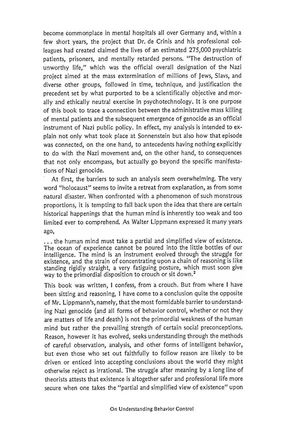become commonplace in mental hospitals all over Germany and, within a few short years, the project that Dr. de Crinis and his professional colleagues had created claimed the lives of an estimated 275,000 psychiatric patients, prisoners, and mentally retarded persons. "The destruction of unworthy life," which was the official overall designation of the Nazi project aimed at the mass extermination of millions of Jews, Slavs, and diverse other groups, followed in time, technique, and justification the precedent set by what purported to be a scientifically objective and morally and ethically neutral exercise in psychotechnology. It is one purpose of this book to trace a connection between the administrative mass killing of mental patients and the subsequent emergence of genocide as an official instrument of Nazi public policy. In effect, my analysis is intended to explain not only what took place at Sonnenstein but also how that episode was connected, on the one hand, to antecedents having nothing explicitly to do with the Nazi movement and, on the other hand, to consequences that not only encompass, but actually go beyond the specific manifestations of Nazi genocide.

At first, the barriers to such an analysis seem overwhelming. The very word "holocaust" seems to invite a retreat from explanation, as from some natural disaster. When confronted with a phenomenon of such monstrous proportions, it is tempting to fall back upon the idea that there are certain historical happenings that the human mind is inherently too weak and too limited ever to comprehend. As Walter Lippmann expressed it many years ago,

. . . the human mind must take a partial and simplified view of existence. The ocean of experience cannot be poured into the little bottles of our intelligence. The mind is an instrument evolved through the struggle for existence, and the strain of concentrating upon a chain of reasoning is like standing rigidly straight, a very fatiguing posture, which must soon give way to the primordial disposition to crouch or sit down.<sup>2</sup>

This book was written, I confess, from a crouch. But from where I have been sitting and reasoning, 1 have come to a conclusion quite the opposite of Mr. Lippmann 's, namely, that the most formidable barrier to understanding Nazi genocide (and all forms of behavior control, whether or not they are matters of life and death) is not the primordial weakness of the human mind but rather the prevailing strength of certain social preconceptions. Reason, however it has evolved, seeks understanding through the methods of careful observation, analysis, and other forms of intelligent behavior, but even those who set out faithfully to follow reason are likely to be driven or enticed into accepting conclusions about the world they might otherwise reject as irrational. The struggle after meaning by a long line of theorists attests that existence is altogether safer and professional life more secure when one takes the "partial and simplified view of existence" upon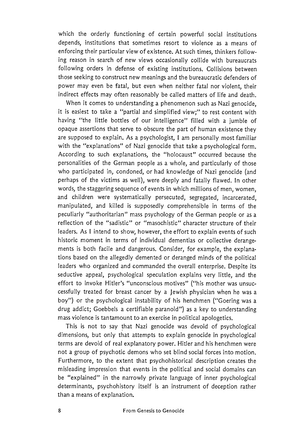which the orderly functioning of certain powerful social institutions depends, institutions that sometimes resort to violence as a means of enforcing their particular view of existence. At such times, thinkers following reason in search of new views occasionally collide with bureaucrats following orders in defense of existing institutions . Collisions between those seeking to construct new meanings and the bureaucratic defenders of power may even be fatal, but even when neither fatal nor violent, their indirect effects may often reasonably be called matters of life and death.

When it comes to understanding a phenomenon such as Nazi genocide, it is easiest to take a "partial and simplified view;" to rest content with having "the little bottles of our intelligence" filled with a jumble of opaque assertions that serve to obscure the part of human existence they are supposed to explain. As a psychologist, I am personally most familiar with the "explanations" of Nazi genocide that take a psychological form. According to such explanations, the " holocaust" occurred because the personalities of the German people as a whole, and particularly of those who participated in, condoned, or had knowledge of Nazi genocide (and perhaps of the victims as well), were deeply and fatally flawed. In other words, the staggering sequence of events in which millions of men, women, and children were systematically persecuted, segregated, incarcerated, manipulated, and killed is supposedly comprehensible in terms of the peculiarly "authoritarian" mass psychology of the German people or as a reflection of the "sadistic" or "masochistic" character structure of their leaders. As I intend to show, however, the effort to explain events of such historic moment in terms of individual dementias or collective derangements is both facile and dangerous. Consider, for example, the explanations based on the allegedly demented or deranged minds of the political leaders who organized and commanded the overall enterprise. Despite its seductive appeal, psychological speculation explains very little, and the effort to invoke Hitler's "unconscious motives" ("his mother was unsuccessfully treated for breast cancer by a Jewish physician when he was a boy") or the psychological instability of his henchmen ("Goering was a drug addict; Goebbels a certifiable paranoid") as a key to understanding mass violence is tantamount to an exercise in political apologetics.

This is not to say that Nazi genocide was devoid of psychological dimensions, but only that attempts to explain genocide in psychological terms are devoid of real explanatory power. Hitler and his henchmen were not a group of psychotic demons who set blind social forces into motion. Furthermore, to the extent that psychohistorical description creates the misleading impression that events in the political and social domains can be "explained" in the narrowly private language of inner psychological determinants, psychohistory itself is an instrument of deception rather than a means of explanation.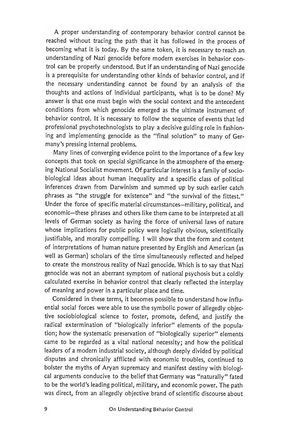A proper understanding of contemporary behavior control cannot be reached without tracing the path that it has followed in the process of becoming what it is today. By the same token, it is necessary to reach an understanding of Nazi genocide before modern exercises in behavior control can be properly understood. But if an understanding of Nazi genocide is a prerequisite for understanding other kinds of behavior control, and if the necessary understanding cannot be found by an analysis of the thoughts and actions of individual participants, what is to be done? My answer is that one must begin with the social context and the antecedent conditions from which genocide emerged as the ultimate instrument of behavior control. It is necessary to follow the sequence of events that led professional psychotechnologists to play a decisive guiding role in fashioning and implementing genocide as the "final solution" to many of Germany's pressing internal problems.

Many lines of converging evidence point to the importance of a few key concepts that took on special significance in the atmosphere of the emerging National Socialist movement. Of particular interest is a family of sociobiological ideas about human inequality and a specific class of political inferences drawn from Darwinism and summed up by such earlier catch phrases as "the struggle for existence" and "the survival of the fittest." Under the force of specific material circumstances-military, political, and economic- these phrases and others like them came to be interpreted at all levels of German society as having the force of universal laws of nature whose implications for public policy were logically obvious, scientifically justifiable, and morally compelling. I will show that the form and content of interpretations of human nature presented by English and American (as well as German) scholars of the time simultaneously reflected and helped to create the monstrous reality of Nazi genocide. Which is to say that Nazi genocide was not an aberrant symptom of national psychosis but a coldly calculated exercise in behavior control that clearly reflected the interplay of meaning and power in a particular place and time.

Considered in these terms, it becomes possible to understand how influential social forces were able to use the symbolic power of allegedly objective sociobiological science to foster, promote, defend, and justify the radical extermination of "biologically inferior" elements of the population; how the systematic preservation of "biologically superior" elements came to be regarded as a vital national necessity; and how the political leaders of a modern industrial society, although deeply divided by political disputes and chronically afflicted with economic troubles, continued to bolster the myths of Aryan supremacy and manifest destiny with biological arguments conducive to the belief that Germany was "naturally" fated to be the world's leading political, military, and economic power. The path was direct, from an allegedly objective brand of scientific discourse about